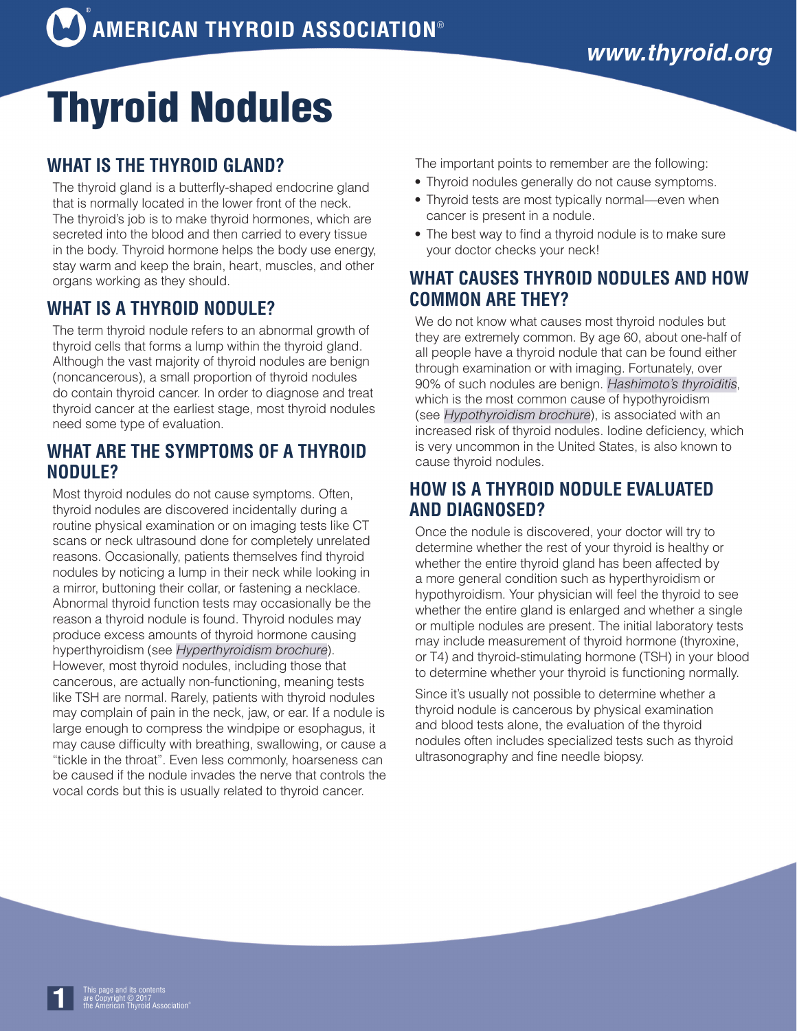# Thyroid Nodules

# **WHAT IS THE THYROID GLAND?**

The thyroid gland is a butterfly-shaped endocrine gland that is normally located in the lower front of the neck. The thyroid's job is to make thyroid hormones, which are secreted into the blood and then carried to every tissue in the body. Thyroid hormone helps the body use energy, stay warm and keep the brain, heart, muscles, and other organs working as they should.

# **WHAT IS A THYROID NODULE?**

The term thyroid nodule refers to an abnormal growth of thyroid cells that forms a lump within the thyroid gland. Although the vast majority of thyroid nodules are benign (noncancerous), a small proportion of thyroid nodules do contain thyroid cancer. In order to diagnose and treat thyroid cancer at the earliest stage, most thyroid nodules need some type of evaluation.

## **WHAT ARE THE SYMPTOMS OF A THYROID NODULE?**

Most thyroid nodules do not cause symptoms. Often, thyroid nodules are discovered incidentally during a routine physical examination or on imaging tests like CT scans or neck ultrasound done for completely unrelated reasons. Occasionally, patients themselves find thyroid nodules by noticing a lump in their neck while looking in a mirror, buttoning their collar, or fastening a necklace. Abnormal thyroid function tests may occasionally be the reason a thyroid nodule is found. Thyroid nodules may produce excess amounts of thyroid hormone causing hyperthyroidism (see *[Hyperthyroidism brochure](http://www.thyroid.org/hyperthyroidism/)*). However, most thyroid nodules, including those that cancerous, are actually non-functioning, meaning tests like TSH are normal. Rarely, patients with thyroid nodules may complain of pain in the neck, jaw, or ear. If a nodule is large enough to compress the windpipe or esophagus, it may cause difficulty with breathing, swallowing, or cause a "tickle in the throat". Even less commonly, hoarseness can be caused if the nodule invades the nerve that controls the vocal cords but this is usually related to thyroid cancer.

The important points to remember are the following:

- Thyroid nodules generally do not cause symptoms.
- Thyroid tests are most typically normal—even when cancer is present in a nodule.
- The best way to find a thyroid nodule is to make sure your doctor checks your neck!

# **WHAT CAUSES THYROID NODULES AND HOW COMMON ARE THEY?**

We do not know what causes most thyroid nodules but they are extremely common. By age 60, about one-half of all people have a thyroid nodule that can be found either through examination or with imaging. Fortunately, over 90% of such nodules are benign. *[Hashimoto's thyroiditis](http://www.thyroid.org/hashimotos-thyroiditis/)*, which is the most common cause of hypothyroidism (see *[Hypothyroidism brochure](http://www.thyroid.org/hypothyroidism/)*), is associated with an increased risk of thyroid nodules. Iodine deficiency, which is very uncommon in the United States, is also known to cause thyroid nodules.

## **HOW IS A THYROID NODULE EVALUATED AND DIAGNOSED?**

Once the nodule is discovered, your doctor will try to determine whether the rest of your thyroid is healthy or whether the entire thyroid gland has been affected by a more general condition such as hyperthyroidism or hypothyroidism. Your physician will feel the thyroid to see whether the entire gland is enlarged and whether a single or multiple nodules are present. The initial laboratory tests may include measurement of thyroid hormone (thyroxine, or T4) and thyroid-stimulating hormone (TSH) in your blood to determine whether your thyroid is functioning normally.

Since it's usually not possible to determine whether a thyroid nodule is cancerous by physical examination and blood tests alone, the evaluation of the thyroid nodules often includes specialized tests such as thyroid ultrasonography and fine needle biopsy.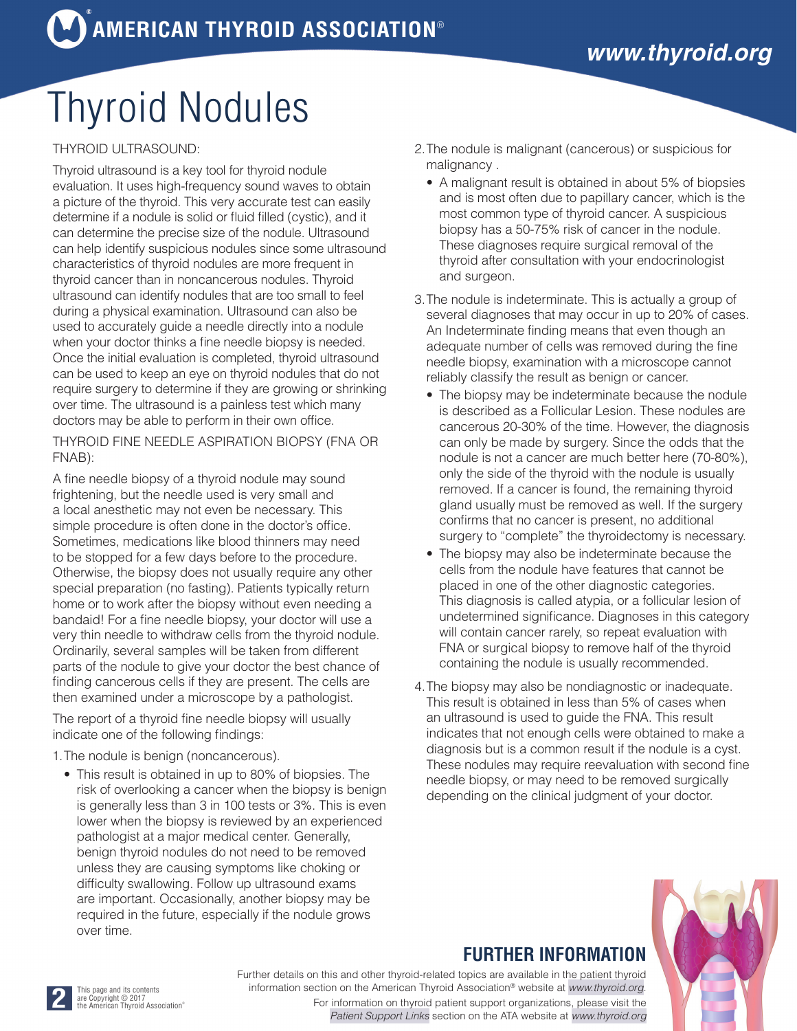# Thyroid Nodules

### THYROID ULTRASOUND:

Thyroid ultrasound is a key tool for thyroid nodule evaluation. It uses high-frequency sound waves to obtain a picture of the thyroid. This very accurate test can easily determine if a nodule is solid or fluid filled (cystic), and it can determine the precise size of the nodule. Ultrasound can help identify suspicious nodules since some ultrasound characteristics of thyroid nodules are more frequent in thyroid cancer than in noncancerous nodules. Thyroid ultrasound can identify nodules that are too small to feel during a physical examination. Ultrasound can also be used to accurately guide a needle directly into a nodule when your doctor thinks a fine needle biopsy is needed. Once the initial evaluation is completed, thyroid ultrasound can be used to keep an eye on thyroid nodules that do not require surgery to determine if they are growing or shrinking over time. The ultrasound is a painless test which many doctors may be able to perform in their own office.

THYROID FINE NEEDLE ASPIRATION BIOPSY (FNA OR FNAB):

A fine needle biopsy of a thyroid nodule may sound frightening, but the needle used is very small and a local anesthetic may not even be necessary. This simple procedure is often done in the doctor's office. Sometimes, medications like blood thinners may need to be stopped for a few days before to the procedure. Otherwise, the biopsy does not usually require any other special preparation (no fasting). Patients typically return home or to work after the biopsy without even needing a bandaid! For a fine needle biopsy, your doctor will use a very thin needle to withdraw cells from the thyroid nodule. Ordinarily, several samples will be taken from different parts of the nodule to give your doctor the best chance of finding cancerous cells if they are present. The cells are then examined under a microscope by a pathologist.

The report of a thyroid fine needle biopsy will usually indicate one of the following findings:

1.The nodule is benign (noncancerous).

• This result is obtained in up to 80% of biopsies. The risk of overlooking a cancer when the biopsy is benign is generally less than 3 in 100 tests or 3%. This is even lower when the biopsy is reviewed by an experienced pathologist at a major medical center. Generally, benign thyroid nodules do not need to be removed unless they are causing symptoms like choking or difficulty swallowing. Follow up ultrasound exams are important. Occasionally, another biopsy may be required in the future, especially if the nodule grows over time.

- 2.The nodule is malignant (cancerous) or suspicious for malignancy .
	- A malignant result is obtained in about 5% of biopsies and is most often due to papillary cancer, which is the most common type of thyroid cancer. A suspicious biopsy has a 50-75% risk of cancer in the nodule. These diagnoses require surgical removal of the thyroid after consultation with your endocrinologist and surgeon.
- 3.The nodule is indeterminate. This is actually a group of several diagnoses that may occur in up to 20% of cases. An Indeterminate finding means that even though an adequate number of cells was removed during the fine needle biopsy, examination with a microscope cannot reliably classify the result as benign or cancer.
	- The biopsy may be indeterminate because the nodule is described as a Follicular Lesion. These nodules are cancerous 20-30% of the time. However, the diagnosis can only be made by surgery. Since the odds that the nodule is not a cancer are much better here (70-80%), only the side of the thyroid with the nodule is usually removed. If a cancer is found, the remaining thyroid gland usually must be removed as well. If the surgery confirms that no cancer is present, no additional surgery to "complete" the thyroidectomy is necessary.
	- The biopsy may also be indeterminate because the cells from the nodule have features that cannot be placed in one of the other diagnostic categories. This diagnosis is called atypia, or a follicular lesion of undetermined significance. Diagnoses in this category will contain cancer rarely, so repeat evaluation with FNA or surgical biopsy to remove half of the thyroid containing the nodule is usually recommended.
- 4.The biopsy may also be nondiagnostic or inadequate. This result is obtained in less than 5% of cases when an ultrasound is used to guide the FNA. This result indicates that not enough cells were obtained to make a diagnosis but is a common result if the nodule is a cyst. These nodules may require reevaluation with second fine needle biopsy, or may need to be removed surgically depending on the clinical judgment of your doctor.

# **FURTHER INFORMATION**

Further details on this and other thyroid-related topics are available in the patient thyroid information section on the American Thyroid Association® website at *[www.thyroid.org](http://www.thyroid.org)*. For information on thyroid patient support organizations, please visit the *[Patient Support Links](http://www.thyroid.org/patient-thyroid-information/what-is-thyroid-disease/)* section on the ATA website at *[www.thyroid.org](http://www.thyroid.org)*